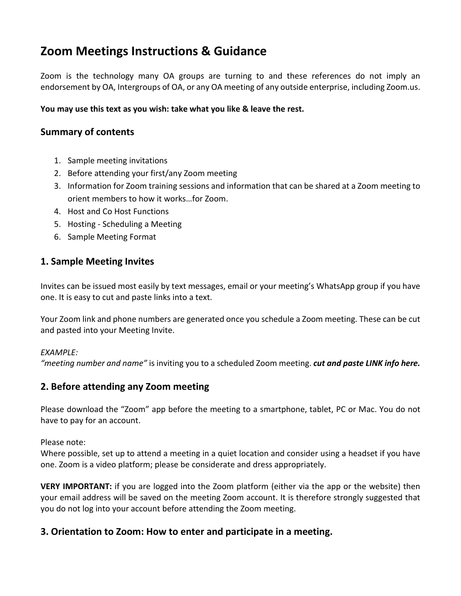# **Zoom Meetings Instructions & Guidance**

Zoom is the technology many OA groups are turning to and these references do not imply an endorsement by OA, Intergroups of OA, or any OA meeting of any outside enterprise, including Zoom.us.

#### **You may use this text as you wish: take what you like & leave the rest.**

# **Summary of contents**

- 1. Sample meeting invitations
- 2. Before attending your first/any Zoom meeting
- 3. Information for Zoom training sessions and information that can be shared at a Zoom meeting to orient members to how it works…for Zoom.
- 4. Host and Co Host Functions
- 5. Hosting Scheduling a Meeting
- 6. Sample Meeting Format

# **1. Sample Meeting Invites**

Invites can be issued most easily by text messages, email or your meeting's WhatsApp group if you have one. It is easy to cut and paste links into a text.

Your Zoom link and phone numbers are generated once you schedule a Zoom meeting. These can be cut and pasted into your Meeting Invite.

#### *EXAMPLE:*

*"meeting number and name"* is inviting you to a scheduled Zoom meeting. *cut and paste LINK info here.*

# **2. Before attending any Zoom meeting**

Please download the "Zoom" app before the meeting to a smartphone, tablet, PC or Mac. You do not have to pay for an account.

Please note:

Where possible, set up to attend a meeting in a quiet location and consider using a headset if you have one. Zoom is a video platform; please be considerate and dress appropriately.

**VERY IMPORTANT:** if you are logged into the Zoom platform (either via the app or the website) then your email address will be saved on the meeting Zoom account. It is therefore strongly suggested that you do not log into your account before attending the Zoom meeting.

# **3. Orientation to Zoom: How to enter and participate in a meeting.**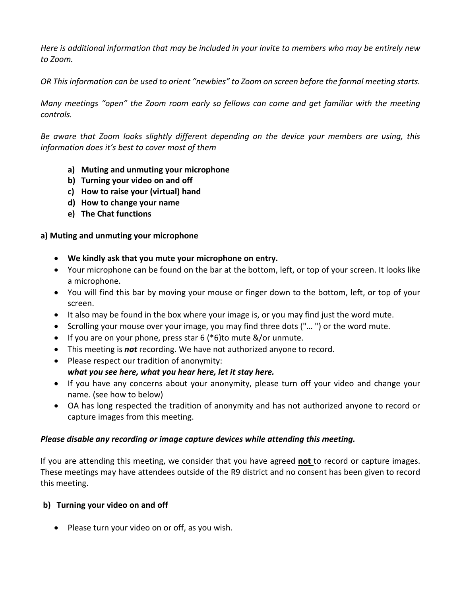Here is additional information that may be included in your invite to members who may be entirely new *to Zoom.*

OR This information can be used to orient "newbies" to Zoom on screen before the formal meeting starts.

*Many meetings "open" the Zoom room early so fellows can come and get familiar with the meeting controls.*

*Be aware that Zoom looks slightly different depending on the device your members are using, this information does it's best to cover most of them*

- **a) Muting and unmuting your microphone**
- **b) Turning your video on and off**
- **c) How to raise your (virtual) hand**
- **d) How to change your name**
- **e) The Chat functions**

#### **a) Muting and unmuting your microphone**

- **We kindly ask that you mute your microphone on entry.**
- Your microphone can be found on the bar at the bottom, left, or top of your screen. It looks like a microphone.
- You will find this bar by moving your mouse or finger down to the bottom, left, or top of your screen.
- It also may be found in the box where your image is, or you may find just the word mute.
- Scrolling your mouse over your image, you may find three dots ("… ") or the word mute.
- $\bullet$  If you are on your phone, press star 6 (\*6)to mute &/or unmute.
- This meeting is *not* recording. We have not authorized anyone to record.
- Please respect our tradition of anonymity: *what you see here, what you hear here, let it stay here.*
- If you have any concerns about your anonymity, please turn off your video and change your name. (see how to below)
- OA has long respected the tradition of anonymity and has not authorized anyone to record or capture images from this meeting.

#### *Please disable any recording or image capture devices while attending this meeting.*

If you are attending this meeting, we consider that you have agreed **not** to record or capture images. These meetings may have attendees outside of the R9 district and no consent has been given to record this meeting.

#### **b) Turning your video on and off**

• Please turn your video on or off, as you wish.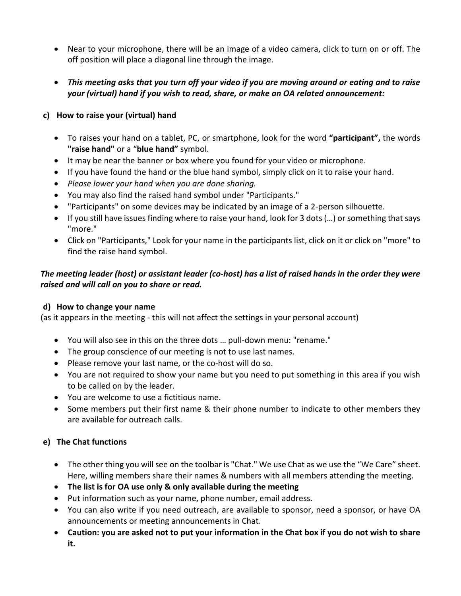- Near to your microphone, there will be an image of a video camera, click to turn on or off. The off position will place a diagonal line through the image.
- This meeting asks that you turn off your video if you are moving around or eating and to raise *your (virtual) hand if you wish to read, share, or make an OA related announcement:*

#### **c) How to raise your (virtual) hand**

- To raises your hand on a tablet, PC, or smartphone, look for the word **"participant",** the words **"raise hand"** or a "**blue hand"** symbol.
- It may be near the banner or box where you found for your video or microphone.
- If you have found the hand or the blue hand symbol, simply click on it to raise your hand.
- *Please lower your hand when you are done sharing.*
- You may also find the raised hand symbol under "Participants."
- "Participants" on some devices may be indicated by an image of a 2-person silhouette.
- If you still have issues finding where to raise your hand, look for 3 dots(…) or something that says "more."
- Click on "Participants," Look for your name in the participants list, click on it or click on "more" to find the raise hand symbol.

## The meeting leader (host) or assistant leader (co-host) has a list of raised hands in the order they were *raised and will call on you to share or read.*

#### **d) How to change your name**

(as it appears in the meeting - this will not affect the settings in your personal account)

- You will also see in this on the three dots … pull-down menu: "rename."
- The group conscience of our meeting is not to use last names.
- Please remove your last name, or the co-host will do so.
- You are not required to show your name but you need to put something in this area if you wish to be called on by the leader.
- You are welcome to use a fictitious name.
- Some members put their first name & their phone number to indicate to other members they are available for outreach calls.

## **e) The Chat functions**

- The other thing you will see on the toolbar is "Chat." We use Chat as we use the "We Care" sheet. Here, willing members share their names & numbers with all members attending the meeting.
- **The list is for OA use only & only available during the meeting**
- Put information such as your name, phone number, email address.
- You can also write if you need outreach, are available to sponsor, need a sponsor, or have OA announcements or meeting announcements in Chat.
- Caution: you are asked not to put your information in the Chat box if you do not wish to share **it.**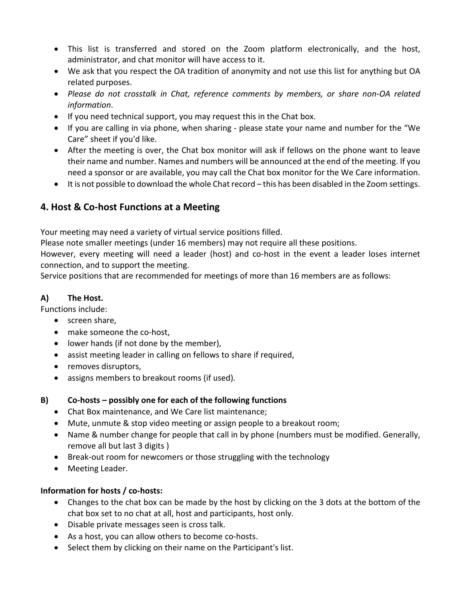- This list is transferred and stored on the Zoom platform electronically, and the host, administrator, and chat monitor will have access to it.
- We ask that you respect the OA tradition of anonymity and not use this list for anything but OA related purposes.
- *Please do not crosstalk in Chat, reference comments by members, or share non-OA related information*.
- If you need technical support, you may request this in the Chat box.
- If you are calling in via phone, when sharing please state your name and number for the "We Care" sheet if you'd like.
- After the meeting is over, the Chat box monitor will ask if fellows on the phone want to leave their name and number. Names and numbers will be announced at the end of the meeting. If you need a sponsor or are available, you may call the Chat box monitor for the We Care information.
- It is not possible to download the whole Chat record this has been disabled in the Zoom settings.

# **4. Host & Co-host Functions at a Meeting**

Your meeting may need a variety of virtual service positions filled.

Please note smaller meetings (under 16 members) may not require all these positions.

However, every meeting will need a leader (host) and co-host in the event a leader loses internet connection, and to support the meeting.

Service positions that are recommended for meetings of more than 16 members are as follows:

## **A) The Host.**

Functions include:

- screen share,
- make someone the co-host,
- lower hands (if not done by the member),
- assist meeting leader in calling on fellows to share if required,
- removes disruptors,
- assigns members to breakout rooms (if used).

#### **B) Co-hosts – possibly one for each of the following functions**

- Chat Box maintenance, and We Care list maintenance;
- Mute, unmute & stop video meeting or assign people to a breakout room;
- Name & number change for people that call in by phone (numbers must be modified. Generally, remove all but last 3 digits )
- Break-out room for newcomers or those struggling with the technology
- Meeting Leader.

#### **Information for hosts / co-hosts:**

- Changes to the chat box can be made by the host by clicking on the 3 dots at the bottom of the chat box set to no chat at all, host and participants, host only.
- Disable private messages seen is cross talk.
- As a host, you can allow others to become co-hosts.
- Select them by clicking on their name on the Participant's list.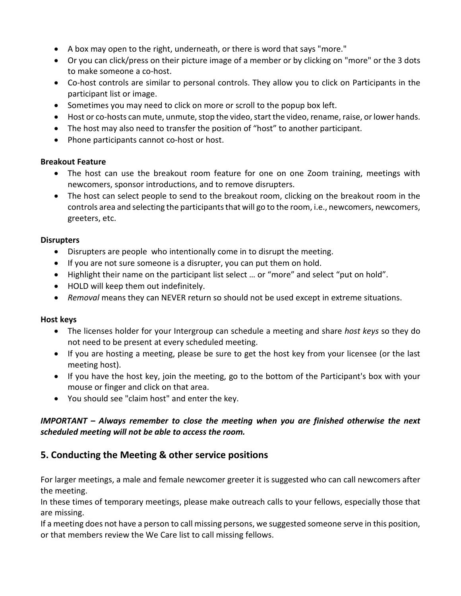- A box may open to the right, underneath, or there is word that says "more."
- Or you can click/press on their picture image of a member or by clicking on "more" or the 3 dots to make someone a co-host.
- Co-host controls are similar to personal controls. They allow you to click on Participants in the participant list or image.
- Sometimes you may need to click on more or scroll to the popup box left.
- Host or co-hosts can mute, unmute, stop the video, start the video, rename, raise, or lower hands.
- The host may also need to transfer the position of "host" to another participant.
- Phone participants cannot co-host or host.

#### **Breakout Feature**

- The host can use the breakout room feature for one on one Zoom training, meetings with newcomers, sponsor introductions, and to remove disrupters.
- The host can select people to send to the breakout room, clicking on the breakout room in the controls area and selecting the participants that will go to the room, i.e., newcomers, newcomers, greeters, etc.

#### **Disrupters**

- Disrupters are people who intentionally come in to disrupt the meeting.
- If you are not sure someone is a disrupter, you can put them on hold.
- Highlight their name on the participant list select … or "more" and select "put on hold".
- HOLD will keep them out indefinitely.
- *Removal* means they can NEVER return so should not be used except in extreme situations.

#### **Host keys**

- The licenses holder for your Intergroup can schedule a meeting and share *host keys* so they do not need to be present at every scheduled meeting.
- If you are hosting a meeting, please be sure to get the host key from your licensee (or the last meeting host).
- If you have the host key, join the meeting, go to the bottom of the Participant's box with your mouse or finger and click on that area.
- You should see "claim host" and enter the key.

## *IMPORTANT – Always remember to close the meeting when you are finished otherwise the next scheduled meeting will not be able to access the room.*

# **5. Conducting the Meeting & other service positions**

For larger meetings, a male and female newcomer greeter it is suggested who can call newcomers after the meeting.

In these times of temporary meetings, please make outreach calls to your fellows, especially those that are missing.

If a meeting does not have a person to call missing persons, we suggested someone serve in this position, or that members review the We Care list to call missing fellows.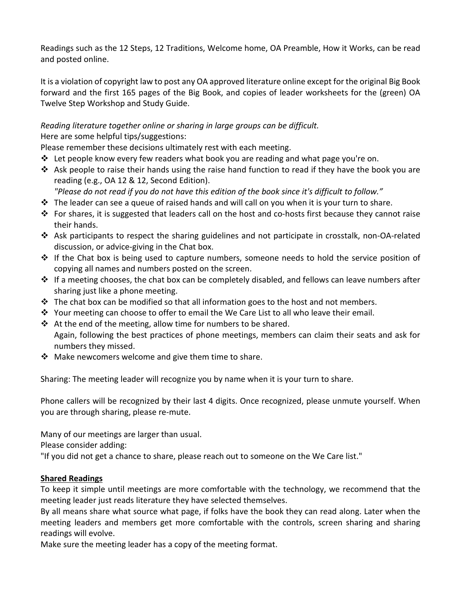Readings such as the 12 Steps, 12 Traditions, Welcome home, OA Preamble, How it Works, can be read and posted online.

It is a violation of copyright law to post any OA approved literature online except for the original Big Book forward and the first 165 pages of the Big Book, and copies of leader worksheets for the (green) OA Twelve Step Workshop and Study Guide.

## *Reading literature together online or sharing in large groups can be difficult.* Here are some helpful tips/suggestions:

Please remember these decisions ultimately rest with each meeting.

- Let people know every few readers what book you are reading and what page you're on.
- $\clubsuit$  Ask people to raise their hands using the raise hand function to read if they have the book you are reading (e.g., OA 12 & 12, Second Edition).
	- "Please do not read if you do not have this edition of the book since it's difficult to follow."
- $\hat{P}$  The leader can see a queue of raised hands and will call on you when it is your turn to share.
- $\cdot \cdot$  For shares, it is suggested that leaders call on the host and co-hosts first because they cannot raise their hands.
- Ask participants to respect the sharing guidelines and not participate in crosstalk, non-OA-related discussion, or advice-giving in the Chat box.
- $\cdot \cdot$  If the Chat box is being used to capture numbers, someone needs to hold the service position of copying all names and numbers posted on the screen.
- $\clubsuit$  If a meeting chooses, the chat box can be completely disabled, and fellows can leave numbers after sharing just like a phone meeting.
- $\cdot \cdot$  The chat box can be modified so that all information goes to the host and not members.
- $\div$  Your meeting can choose to offer to email the We Care List to all who leave their email.
- $\cdot$  At the end of the meeting, allow time for numbers to be shared. Again, following the best practices of phone meetings, members can claim their seats and ask for numbers they missed.
- $\clubsuit$  Make newcomers welcome and give them time to share.

Sharing: The meeting leader will recognize you by name when it is your turn to share.

Phone callers will be recognized by their last 4 digits. Once recognized, please unmute yourself. When you are through sharing, please re-mute.

Many of our meetings are larger than usual.

Please consider adding:

"If you did not get a chance to share, please reach out to someone on the We Care list."

#### **Shared Readings**

To keep it simple until meetings are more comfortable with the technology, we recommend that the meeting leader just reads literature they have selected themselves.

By all means share what source what page, if folks have the book they can read along. Later when the meeting leaders and members get more comfortable with the controls, screen sharing and sharing readings will evolve.

Make sure the meeting leader has a copy of the meeting format.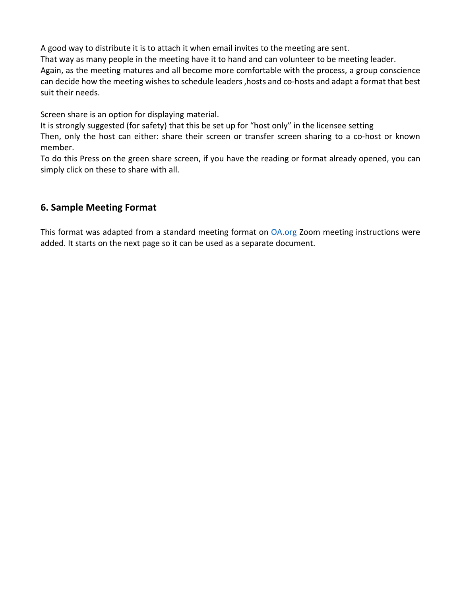A good way to distribute it is to attach it when email invites to the meeting are sent.

That way as many people in the meeting have it to hand and can volunteer to be meeting leader.

Again, as the meeting matures and all become more comfortable with the process, a group conscience can decide how the meeting wishes to schedule leaders, hosts and co-hosts and adapt a format that best suit their needs.

Screen share is an option for displaying material.

It is strongly suggested (for safety) that this be set up for "host only" in the licensee setting

Then, only the host can either: share their screen or transfer screen sharing to a co-host or known member.

To do this Press on the green share screen, if you have the reading or format already opened, you can simply click on these to share with all.

# **6. Sample Meeting Format**

This format was adapted from a standard meeting format on [OA.org](http://oa.org/) Zoom meeting instructions were added. It starts on the next page so it can be used as a separate document.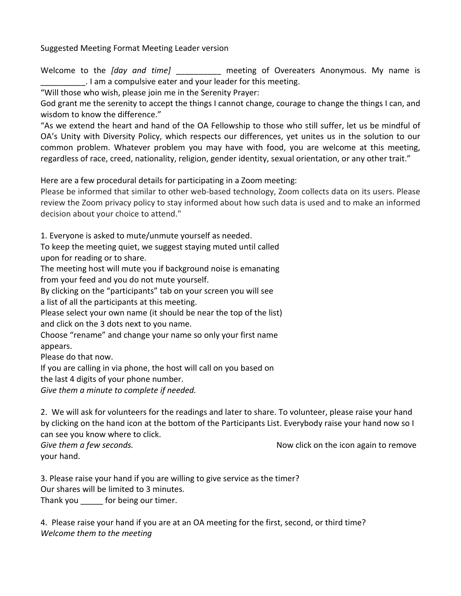Suggested Meeting Format Meeting Leader version

Welcome to the *[day and time]* **meeting of Overeaters Anonymous. My name is** \_\_\_\_\_\_\_\_\_\_. I am a compulsive eater and your leader for this meeting.

"Will those who wish, please join me in the Serenity Prayer:

God grant me the serenity to accept the things I cannot change, courage to change the things I can, and wisdom to know the difference."

"As we extend the heart and hand of the OA Fellowship to those who still suffer, let us be mindful of OA's Unity with Diversity Policy, which respects our differences, yet unites us in the solution to our common problem. Whatever problem you may have with food, you are welcome at this meeting, regardless of race, creed, nationality, religion, gender identity, sexual orientation, or any other trait."

Here are a few procedural details for participating in a Zoom meeting:

Please be informed that similar to other web-based technology, Zoom collects data on its users. Please review the Zoom privacy policy to stay informed about how such data is used and to make an informed decision about your choice to attend."

1. Everyone is asked to mute/unmute yourself as needed.

To keep the meeting quiet, we suggest staying muted until called

upon for reading or to share.

The meeting host will mute you if background noise is emanating from your feed and you do not mute yourself.

By clicking on the "participants" tab on your screen you will see

a list of all the participants at this meeting.

Please select your own name (it should be near the top of the list) and click on the 3 dots next to you name.

Choose "rename" and change your name so only your first name appears.

Please do that now.

If you are calling in via phone, the host will call on you based on

the last 4 digits of your phone number.

*Give them a minute to complete if needed.*

2. We will ask for volunteers for the readings and later to share. To volunteer, please raise your hand by clicking on the hand icon at the bottom of the Participants List. Everybody raise your hand now so I can see you know where to click.

your hand.

**Give them a few seconds. Now click on the icon again to remove** *Give them* **again to remove** 

3. Please raise your hand if you are willing to give service as the timer? Our shares will be limited to 3 minutes. Thank you \_\_\_\_\_\_ for being our timer.

4. Please raise your hand if you are at an OA meeting for the first, second, or third time? *Welcome them to the meeting*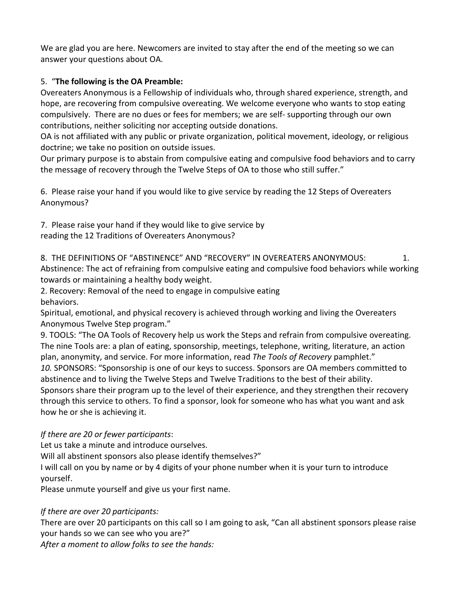We are glad you are here. Newcomers are invited to stay after the end of the meeting so we can answer your questions about OA.

## 5. "**The following is the OA Preamble:**

Overeaters Anonymous is a Fellowship of individuals who, through shared experience, strength, and hope, are recovering from compulsive overeating. We welcome everyone who wants to stop eating compulsively. There are no dues or fees for members; we are self- supporting through our own contributions, neither soliciting nor accepting outside donations.

OA is not affiliated with any public or private organization, political movement, ideology, or religious doctrine; we take no position on outside issues.

Our primary purpose is to abstain from compulsive eating and compulsive food behaviors and to carry the message of recovery through the Twelve Steps of OA to those who still suffer."

6. Please raise your hand if you would like to give service by reading the 12 Steps of Overeaters Anonymous?

7. Please raise your hand if they would like to give service by reading the 12 Traditions of Overeaters Anonymous?

8. THE DEFINITIONS OF "ABSTINENCE" AND "RECOVERY" IN OVEREATERS ANONYMOUS:  $1.$ Abstinence: The act of refraining from compulsive eating and compulsive food behaviors while working towards or maintaining a healthy body weight.

2. Recovery: Removal of the need to engage in compulsive eating behaviors.

Spiritual, emotional, and physical recovery is achieved through working and living the Overeaters Anonymous Twelve Step program."

9. TOOLS: "The OA Tools of Recovery help us work the Steps and refrain from compulsive overeating. The nine Tools are: a plan of eating, sponsorship, meetings, telephone, writing, literature, an action plan, anonymity, and service. For more information, read *The Tools of Recovery* pamphlet." *10.* SPONSORS: "Sponsorship is one of our keys to success. Sponsors are OA members committed to abstinence and to living the Twelve Steps and Twelve Traditions to the best of their ability. Sponsors share their program up to the level of their experience, and they strengthen their recovery through this service to others. To find a sponsor, look for someone who has what you want and ask how he or she is achieving it.

#### *If there are 20 or fewer participants*:

Let us take a minute and introduce ourselves.

Will all abstinent sponsors also please identify themselves?"

I will call on you by name or by 4 digits of your phone number when it is your turn to introduce yourself.

Please unmute yourself and give us your first name.

#### *If there are over 20 participants:*

There are over 20 participants on this call so I am going to ask, "Can all abstinent sponsors please raise your hands so we can see who you are?"

*After a moment to allow folks to see the hands:*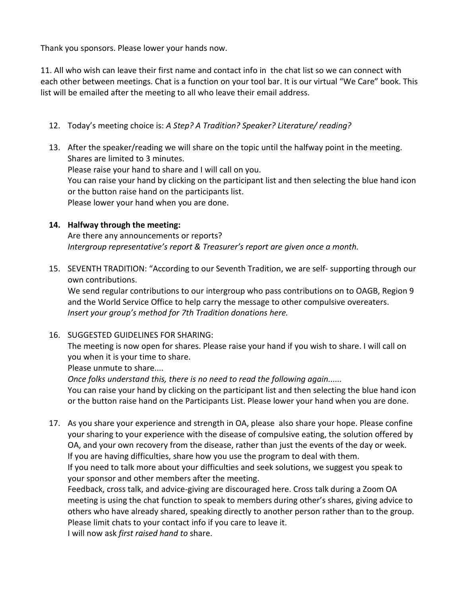Thank you sponsors. Please lower your hands now.

11. All who wish can leave their first name and contact info in the chat list so we can connect with each other between meetings. Chat is a function on your tool bar. It is our virtual "We Care" book. This list will be emailed after the meeting to all who leave their email address.

- 12. Today's meeting choice is: *A Step? A Tradition? Speaker? Literature/ reading?*
- 13. After the speaker/reading we will share on the topic until the halfway point in the meeting. Shares are limited to 3 minutes. Please raise your hand to share and I will call on you. You can raise your hand by clicking on the participant list and then selecting the blue hand icon or the button raise hand on the participants list. Please lower your hand when you are done.

#### **14. Halfway through the meeting:**

Are there any announcements or reports? *Intergroup representative's report & Treasurer's report are given once a month.*

15. SEVENTH TRADITION: "According to our Seventh Tradition, we are self- supporting through our own contributions.

We send regular contributions to our intergroup who pass contributions on to OAGB, Region 9 and the World Service Office to help carry the message to other compulsive overeaters. *Insert your group's method for 7th Tradition donations here.*

16. SUGGESTED GUIDELINES FOR SHARING:

The meeting is now open for shares. Please raise your hand if you wish to share. I will call on you when it is your time to share.

Please unmute to share....

*Once folks understand this, there is no need to read the following again......*

You can raise your hand by clicking on the participant list and then selecting the blue hand icon or the button raise hand on the Participants List. Please lower your hand when you are done.

17. As you share your experience and strength in OA, please also share your hope. Please confine your sharing to your experience with the disease of compulsive eating, the solution offered by OA, and your own recovery from the disease, rather than just the events of the day or week. If you are having difficulties, share how you use the program to deal with them.

If you need to talk more about your difficulties and seek solutions, we suggest you speak to your sponsor and other members after the meeting.

Feedback, cross talk, and advice-giving are discouraged here. Cross talk during a Zoom OA meeting is using the chat function to speak to members during other's shares, giving advice to others who have already shared, speaking directly to another person rather than to the group. Please limit chats to your contact info if you care to leave it.

I will now ask *first raised hand to* share.